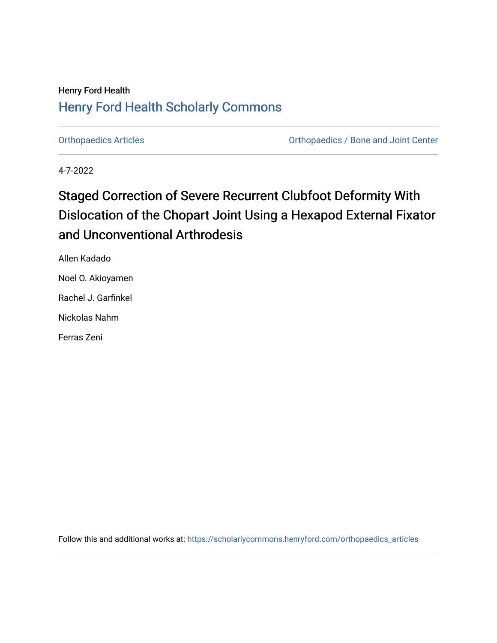## **Henry Ford Health Henry Ford Health Scholarly Commons**

**Orthopaedics Articles** 

**Orthopaedics / Bone and Joint Center** 

4-7-2022

## **Staged Correction of Severe Recurrent Clubfoot Deformity With** Dislocation of the Chopart Joint Using a Hexapod External Fixator and Unconventional Arthrodesis

Allen Kadado Noel O. Akioyamen Rachel J. Garfinkel

Nickolas Nahm

Ferras Zeni

Follow this and additional works at: https://scholarlycommons.henryford.com/orthopaedics\_articles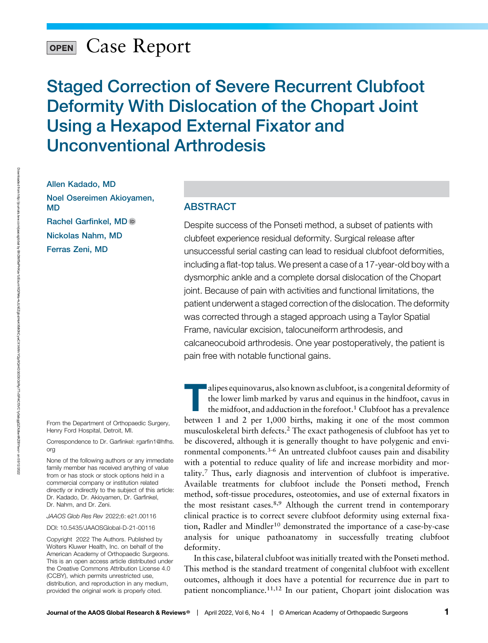# OPEN Case Report

Staged Correction of Severe Recurrent Clubfoot Deformity With Dislocation of the Chopart Joint Using a Hexapod External Fixator and Unconventional Arthrodesis

Allen Kadado, MD Noel Osereimen Akioyamen, MD Rachel Garfinkel, M[D](https://orcid.org/0000-0002-1227-6704) Nickolas Nahm, MD Ferras Zeni, MD

From the Department of Orthopaedic Surgery, Henry Ford Hospital, Detroit, MI.

Correspondence to Dr. Garfinkel: [rgarfin1@hfhs.](mailto:rgarfin1@hfhs.org) [org](mailto:rgarfin1@hfhs.org)

None of the following authors or any immediate family member has received anything of value from or has stock or stock options held in a commercial company or institution related directly or indirectly to the subject of this article: Dr. Kadado, Dr. Akioyamen, Dr. Garfinkel, Dr. Nahm, and Dr. Zeni.

JAAOS Glob Res Rev 2022;6: e21.00116

DOI: [10.5435/JAAOSGlobal-D-21-00116](http://dx.doi.org/10.5435/JAAOSGlobal-D-21-00116)

Copyright 2022 The Authors. Published by Wolters Kluwer Health, Inc. on behalf of the American Academy of Orthopaedic Surgeons. This is an open access article distributed under the [Creative Commons Attribution License 4.0](http://creativecommons.org/licenses/by/4.0/) [\(CCBY\),](http://creativecommons.org/licenses/by/4.0/) which permits unrestricted use, distribution, and reproduction in any medium, provided the original work is properly cited.

### ABSTRACT

Despite success of the Ponseti method, a subset of patients with clubfeet experience residual deformity. Surgical release after unsuccessful serial casting can lead to residual clubfoot deformities, including a flat-top talus. We present a case of a 17-year-old boy with a dysmorphic ankle and a complete dorsal dislocation of the Chopart joint. Because of pain with activities and functional limitations, the patient underwent a staged correction of the dislocation. The deformity was corrected through a staged approach using a Taylor Spatial Frame, navicular excision, talocuneiform arthrodesis, and calcaneocuboid arthrodesis. One year postoperatively, the patient is pain free with notable functional gains.

alipes equinovarus, also known as clubfoot, is a congenital deformity of<br>the lower limb marked by varus and equinus in the hindfoot, cavus in<br>the midfoot, and adduction in the forefoot.<sup>1</sup> Clubfoot has a prevalence<br>between the lower limb marked by varus and equinus in the hindfoot, cavus in the midfoot, and adduction in the forefoot.<sup>1</sup> Clubfoot has a prevalence between 1 and 2 per 1,000 births, making it one of the most common musculoskeletal birth defects.2 The exact pathogenesis of clubfoot has yet to ronmental components.3-6 An untreated clubfoot causes pain and disability with a potential to reduce quality of life and increase morbidity and mortality.<sup>7</sup> Thus, early diagnosis and intervention of clubfoot is imperative. Available treatments for clubfoot include the Ponseti method, French method, soft-tissue procedures, osteotomies, and use of external fixators in the most resistant cases.<sup>8,9</sup> Although the current trend in contemporary clinical practice is to correct severe clubfoot deformity using external fixation, Radler and Mindler<sup>10</sup> demonstrated the importance of a case-by-case analysis for unique pathoanatomy in successfully treating clubfoot deformity.

In this case, bilateral clubfoot was initially treated with the Ponseti method. This method is the standard treatment of congenital clubfoot with excellent outcomes, although it does have a potential for recurrence due in part to patient noncompliance.11,12 In our patient, Chopart joint dislocation was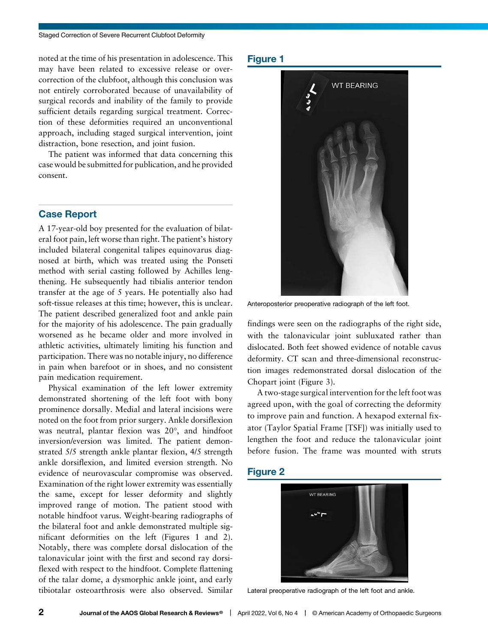noted at the time of his presentation in adolescence. This may have been related to excessive release or overcorrection of the clubfoot, although this conclusion was not entirely corroborated because of unavailability of surgical records and inability of the family to provide sufficient details regarding surgical treatment. Correction of these deformities required an unconventional approach, including staged surgical intervention, joint distraction, bone resection, and joint fusion.

The patient was informed that data concerning this case would be submitted for publication, and he provided consent.

A 17-year-old boy presented for the evaluation of bilateral foot pain, left worse than right. The patient's history included bilateral congenital talipes equinovarus diagnosed at birth, which was treated using the Ponseti method with serial casting followed by Achilles lengthening. He subsequently had tibialis anterior tendon transfer at the age of 5 years. He potentially also had soft-tissue releases at this time; however, this is unclear. The patient described generalized foot and ankle pain for the majority of his adolescence. The pain gradually worsened as he became older and more involved in athletic activities, ultimately limiting his function and participation. There was no notable injury, no difference in pain when barefoot or in shoes, and no consistent pain medication requirement.

Physical examination of the left lower extremity demonstrated shortening of the left foot with bony prominence dorsally. Medial and lateral incisions were noted on the foot from prior surgery. Ankle dorsiflexion was neutral, plantar flexion was  $20^{\circ}$ , and hindfoot inversion/eversion was limited. The patient demonstrated 5/5 strength ankle plantar flexion, 4/5 strength ankle dorsiflexion, and limited eversion strength. No evidence of neurovascular compromise was observed. Examination of the right lower extremity was essentially the same, except for lesser deformity and slightly improved range of motion. The patient stood with notable hindfoot varus. Weight-bearing radiographs of the bilateral foot and ankle demonstrated multiple significant deformities on the left (Figures 1 and 2). Notably, there was complete dorsal dislocation of the talonavicular joint with the first and second ray dorsiflexed with respect to the hindfoot. Complete flattening of the talar dome, a dysmorphic ankle joint, and early tibiotalar osteoarthrosis were also observed. Similar



Anteroposterior preoperative radiograph of the left foot.

findings were seen on the radiographs of the right side, with the talonavicular joint subluxated rather than dislocated. Both feet showed evidence of notable cavus deformity. CT scan and three-dimensional reconstruction images redemonstrated dorsal dislocation of the Chopart joint (Figure 3).

A two-stage surgical intervention for the left foot was agreed upon, with the goal of correcting the deformity to improve pain and function. A hexapod external fixator (Taylor Spatial Frame [TSF]) was initially used to lengthen the foot and reduce the talonavicular joint before fusion. The frame was mounted with struts



Lateral preoperative radiograph of the left foot and ankle.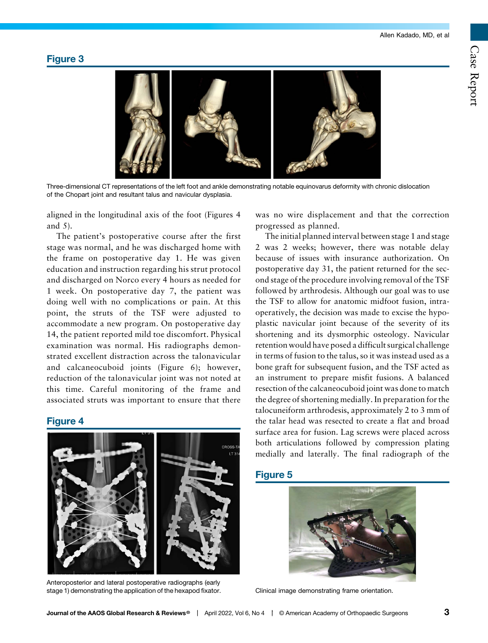## Figure 3



Three-dimensional CT representations of the left foot and ankle demonstrating notable equinovarus deformity with chronic dislocation of the Chopart joint and resultant talus and navicular dysplasia.

aligned in the longitudinal axis of the foot (Figures 4 and 5).

The patient's postoperative course after the first stage was normal, and he was discharged home with the frame on postoperative day 1. He was given education and instruction regarding his strut protocol and discharged on Norco every 4 hours as needed for 1 week. On postoperative day 7, the patient was doing well with no complications or pain. At this point, the struts of the TSF were adjusted to accommodate a new program. On postoperative day 14, the patient reported mild toe discomfort. Physical examination was normal. His radiographs demonstrated excellent distraction across the talonavicular and calcaneocuboid joints (Figure 6); however, reduction of the talonavicular joint was not noted at this time. Careful monitoring of the frame and associated struts was important to ensure that there



Anteroposterior and lateral postoperative radiographs (early stage 1) demonstrating the application of the hexapod fixator.

was no wire displacement and that the correction progressed as planned.

The initial planned interval between stage 1 and stage 2 was 2 weeks; however, there was notable delay because of issues with insurance authorization. On postoperative day 31, the patient returned for the second stage of the procedure involving removal of the TSF followed by arthrodesis. Although our goal was to use the TSF to allow for anatomic midfoot fusion, intraoperatively, the decision was made to excise the hypoplastic navicular joint because of the severity of its shortening and its dysmorphic osteology. Navicular retention would have posed a difficult surgical challenge in terms of fusion to the talus, so it was instead used as a bone graft for subsequent fusion, and the TSF acted as an instrument to prepare misfit fusions. A balanced resection of the calcaneocuboid joint was done to match the degree of shortening medially. In preparation for the talocuneiform arthrodesis, approximately 2 to 3 mm of the talar head was resected to create a flat and broad surface area for fusion. Lag screws were placed across both articulations followed by compression plating medially and laterally. The final radiograph of the

## Figure 5



Clinical image demonstrating frame orientation.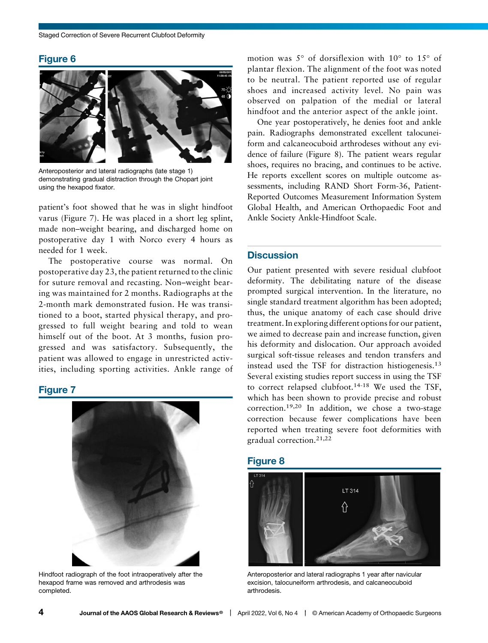

Anteroposterior and lateral radiographs (late stage 1) demonstrating gradual distraction through the Chopart joint using the hexapod fixator.

patient's foot showed that he was in slight hindfoot varus (Figure 7). He was placed in a short leg splint, made non–weight bearing, and discharged home on postoperative day 1 with Norco every 4 hours as needed for 1 week.

The postoperative course was normal. On postoperative day 23, the patient returned to the clinic for suture removal and recasting. Non–weight bearing was maintained for 2 months. Radiographs at the 2-month mark demonstrated fusion. He was transitioned to a boot, started physical therapy, and progressed to full weight bearing and told to wean himself out of the boot. At 3 months, fusion progressed and was satisfactory. Subsequently, the patient was allowed to engage in unrestricted activities, including sporting activities. Ankle range of

## $\frac{1}{\sqrt{2}}$



Hindfoot radiograph of the foot intraoperatively after the hexapod frame was removed and arthrodesis was completed.

motion was  $5^\circ$  of dorsiflexion with  $10^\circ$  to  $15^\circ$  of plantar flexion. The alignment of the foot was noted to be neutral. The patient reported use of regular shoes and increased activity level. No pain was observed on palpation of the medial or lateral hindfoot and the anterior aspect of the ankle joint.

One year postoperatively, he denies foot and ankle pain. Radiographs demonstrated excellent talocuneiform and calcaneocuboid arthrodeses without any evidence of failure (Figure 8). The patient wears regular shoes, requires no bracing, and continues to be active. He reports excellent scores on multiple outcome assessments, including RAND Short Form-36, Patient-Reported Outcomes Measurement Information System Global Health, and American Orthopaedic Foot and Ankle Society Ankle-Hindfoot Scale.

### **Discussion**

Our patient presented with severe residual clubfoot deformity. The debilitating nature of the disease prompted surgical intervention. In the literature, no single standard treatment algorithm has been adopted; thus, the unique anatomy of each case should drive treatment. In exploring different options for our patient, we aimed to decrease pain and increase function, given his deformity and dislocation. Our approach avoided surgical soft-tissue releases and tendon transfers and instead used the TSF for distraction histiogenesis.<sup>13</sup> Several existing studies report success in using the TSF to correct relapsed clubfoot.14-18 We used the TSF, which has been shown to provide precise and robust correction.19,20 In addition, we chose a two-stage correction because fewer complications have been reported when treating severe foot deformities with gradual correction.21,22

## Figure 8



Anteroposterior and lateral radiographs 1 year after navicular excision, talocuneiform arthrodesis, and calcaneocuboid arthrodesis.